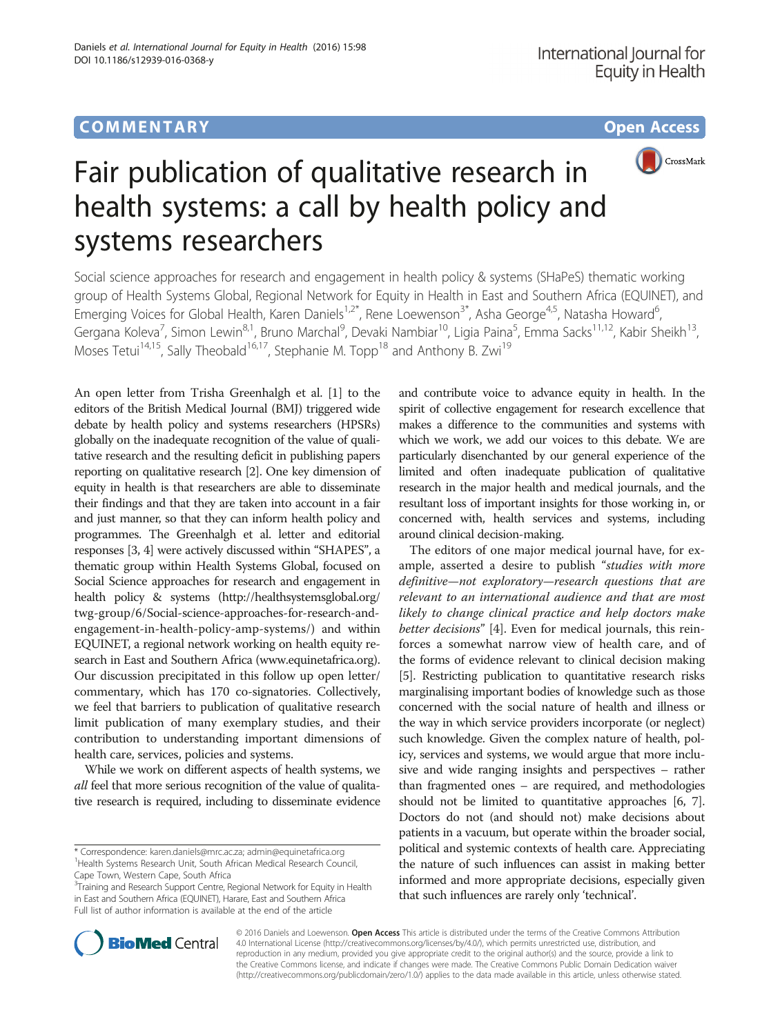

# Fair publication of qualitative research in health systems: a call by health policy and systems researchers

Social science approaches for research and engagement in health policy & systems (SHaPeS) thematic working group of Health Systems Global, Regional Network for Equity in Health in East and Southern Africa (EQUINET), and Emerging Voices for Global Health, Karen Daniels<sup>1,2\*</sup>, Rene Loewenson<sup>3\*</sup>, Asha George<sup>4,5</sup>, Natasha Howard<sup>6</sup>, , Gergana Koleva<sup>7</sup>, Simon Lewin<sup>8,1</sup>, Bruno Marchal<sup>9</sup>, Devaki Nambiar<sup>10</sup>, Ligia Paina<sup>5</sup>, Emma Sacks<sup>11,12</sup>, Kabir Sheikh<sup>13</sup>, Moses Tetui<sup>14,15</sup>, Sally Theobald<sup>16,17</sup>, Stephanie M. Topp<sup>18</sup> and Anthony B. Zwi<sup>19</sup>

An open letter from Trisha Greenhalgh et al. [[1](#page-7-0)] to the editors of the British Medical Journal (BMJ) triggered wide debate by health policy and systems researchers (HPSRs) globally on the inadequate recognition of the value of qualitative research and the resulting deficit in publishing papers reporting on qualitative research [\[2](#page-7-0)]. One key dimension of equity in health is that researchers are able to disseminate their findings and that they are taken into account in a fair and just manner, so that they can inform health policy and programmes. The Greenhalgh et al. letter and editorial responses [\[3, 4](#page-7-0)] were actively discussed within "SHAPES", a thematic group within Health Systems Global, focused on Social Science approaches for research and engagement in health policy & systems ([http://healthsystemsglobal.org/](http://healthsystemsglobal.org/twg-group/6/Social-science-approaches-for-research-and-engagement-in-health-policy-amp-systems/) [twg-group/6/Social-science-approaches-for-research-and](http://healthsystemsglobal.org/twg-group/6/Social-science-approaches-for-research-and-engagement-in-health-policy-amp-systems/)[engagement-in-health-policy-amp-systems/](http://healthsystemsglobal.org/twg-group/6/Social-science-approaches-for-research-and-engagement-in-health-policy-amp-systems/)) and within EQUINET, a regional network working on health equity research in East and Southern Africa [\(www.equinetafrica.org](http://www.equinetafrica.org)). Our discussion precipitated in this follow up open letter/ commentary, which has 170 co-signatories. Collectively, we feel that barriers to publication of qualitative research limit publication of many exemplary studies, and their contribution to understanding important dimensions of health care, services, policies and systems.

While we work on different aspects of health systems, we all feel that more serious recognition of the value of qualitative research is required, including to disseminate evidence

and contribute voice to advance equity in health. In the spirit of collective engagement for research excellence that makes a difference to the communities and systems with which we work, we add our voices to this debate. We are particularly disenchanted by our general experience of the limited and often inadequate publication of qualitative research in the major health and medical journals, and the resultant loss of important insights for those working in, or concerned with, health services and systems, including around clinical decision-making.

The editors of one major medical journal have, for example, asserted a desire to publish "studies with more definitive—not exploratory—research questions that are relevant to an international audience and that are most likely to change clinical practice and help doctors make better decisions" [[4\]](#page-7-0). Even for medical journals, this reinforces a somewhat narrow view of health care, and of the forms of evidence relevant to clinical decision making [[5](#page-7-0)]. Restricting publication to quantitative research risks marginalising important bodies of knowledge such as those concerned with the social nature of health and illness or the way in which service providers incorporate (or neglect) such knowledge. Given the complex nature of health, policy, services and systems, we would argue that more inclusive and wide ranging insights and perspectives – rather than fragmented ones – are required, and methodologies should not be limited to quantitative approaches [\[6, 7](#page-7-0)]. Doctors do not (and should not) make decisions about patients in a vacuum, but operate within the broader social, political and systemic contexts of health care. Appreciating the nature of such influences can assist in making better informed and more appropriate decisions, especially given that such influences are rarely only 'technical'.



© 2016 Daniels and Loewenson. Open Access This article is distributed under the terms of the Creative Commons Attribution 4.0 International License ([http://creativecommons.org/licenses/by/4.0/\)](http://creativecommons.org/licenses/by/4.0/), which permits unrestricted use, distribution, and reproduction in any medium, provided you give appropriate credit to the original author(s) and the source, provide a link to the Creative Commons license, and indicate if changes were made. The Creative Commons Public Domain Dedication waiver [\(http://creativecommons.org/publicdomain/zero/1.0/](http://creativecommons.org/publicdomain/zero/1.0/)) applies to the data made available in this article, unless otherwise stated.

<sup>\*</sup> Correspondence: [karen.daniels@mrc.ac.za](mailto:karen.daniels@mrc.ac.za); [admin@equinetafrica.org](mailto:admin@equinetafrica.org) <sup>1</sup> <sup>1</sup> Health Systems Research Unit, South African Medical Research Council, Cape Town, Western Cape, South Africa

<sup>&</sup>lt;sup>3</sup>Training and Research Support Centre, Regional Network for Equity in Health in East and Southern Africa (EQUINET), Harare, East and Southern Africa Full list of author information is available at the end of the article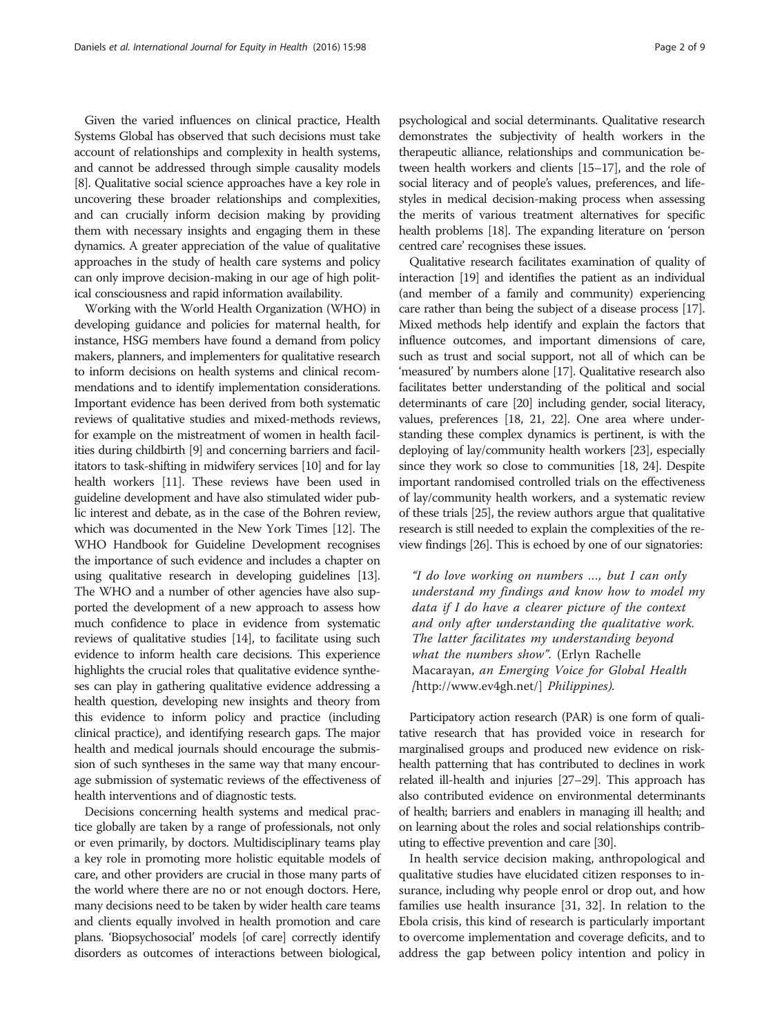Given the varied influences on clinical practice, Health Systems Global has observed that such decisions must take account of relationships and complexity in health systems, and cannot be addressed through simple causality models [[8](#page-7-0)]. Qualitative social science approaches have a key role in uncovering these broader relationships and complexities, and can crucially inform decision making by providing them with necessary insights and engaging them in these dynamics. A greater appreciation of the value of qualitative approaches in the study of health care systems and policy can only improve decision-making in our age of high political consciousness and rapid information availability.

Working with the World Health Organization (WHO) in developing guidance and policies for maternal health, for instance, HSG members have found a demand from policy makers, planners, and implementers for qualitative research to inform decisions on health systems and clinical recommendations and to identify implementation considerations. Important evidence has been derived from both systematic reviews of qualitative studies and mixed-methods reviews, for example on the mistreatment of women in health facilities during childbirth [\[9\]](#page-7-0) and concerning barriers and facilitators to task-shifting in midwifery services [\[10\]](#page-7-0) and for lay health workers [[11\]](#page-7-0). These reviews have been used in guideline development and have also stimulated wider public interest and debate, as in the case of the Bohren review, which was documented in the New York Times [[12](#page-7-0)]. The WHO Handbook for Guideline Development recognises the importance of such evidence and includes a chapter on using qualitative research in developing guidelines [\[13](#page-7-0)]. The WHO and a number of other agencies have also supported the development of a new approach to assess how much confidence to place in evidence from systematic reviews of qualitative studies [\[14](#page-7-0)], to facilitate using such evidence to inform health care decisions. This experience highlights the crucial roles that qualitative evidence syntheses can play in gathering qualitative evidence addressing a health question, developing new insights and theory from this evidence to inform policy and practice (including clinical practice), and identifying research gaps. The major health and medical journals should encourage the submission of such syntheses in the same way that many encourage submission of systematic reviews of the effectiveness of health interventions and of diagnostic tests.

Decisions concerning health systems and medical practice globally are taken by a range of professionals, not only or even primarily, by doctors. Multidisciplinary teams play a key role in promoting more holistic equitable models of care, and other providers are crucial in those many parts of the world where there are no or not enough doctors. Here, many decisions need to be taken by wider health care teams and clients equally involved in health promotion and care plans. 'Biopsychosocial' models [of care] correctly identify disorders as outcomes of interactions between biological, psychological and social determinants. Qualitative research demonstrates the subjectivity of health workers in the therapeutic alliance, relationships and communication between health workers and clients [\[15](#page-7-0)–[17](#page-8-0)], and the role of social literacy and of people's values, preferences, and lifestyles in medical decision-making process when assessing the merits of various treatment alternatives for specific health problems [[18](#page-8-0)]. The expanding literature on 'person centred care' recognises these issues.

Qualitative research facilitates examination of quality of interaction [\[19](#page-8-0)] and identifies the patient as an individual (and member of a family and community) experiencing care rather than being the subject of a disease process [\[17](#page-8-0)]. Mixed methods help identify and explain the factors that influence outcomes, and important dimensions of care, such as trust and social support, not all of which can be 'measured' by numbers alone [\[17\]](#page-8-0). Qualitative research also facilitates better understanding of the political and social determinants of care [[20\]](#page-8-0) including gender, social literacy, values, preferences [\[18, 21, 22](#page-8-0)]. One area where understanding these complex dynamics is pertinent, is with the deploying of lay/community health workers [\[23](#page-8-0)], especially since they work so close to communities [\[18](#page-8-0), [24](#page-8-0)]. Despite important randomised controlled trials on the effectiveness of lay/community health workers, and a systematic review of these trials [[25](#page-8-0)], the review authors argue that qualitative research is still needed to explain the complexities of the review findings [[26](#page-8-0)]. This is echoed by one of our signatories:

"I do love working on numbers …, but I can only understand my findings and know how to model my data if I do have a clearer picture of the context and only after understanding the qualitative work. The latter facilitates my understanding beyond what the numbers show". (Erlyn Rachelle Macarayan, an Emerging Voice for Global Health [<http://www.ev4gh.net/>] Philippines).

Participatory action research (PAR) is one form of qualitative research that has provided voice in research for marginalised groups and produced new evidence on riskhealth patterning that has contributed to declines in work related ill-health and injuries [\[27](#page-8-0)–[29\]](#page-8-0). This approach has also contributed evidence on environmental determinants of health; barriers and enablers in managing ill health; and on learning about the roles and social relationships contributing to effective prevention and care [\[30\]](#page-8-0).

In health service decision making, anthropological and qualitative studies have elucidated citizen responses to insurance, including why people enrol or drop out, and how families use health insurance [\[31](#page-8-0), [32\]](#page-8-0). In relation to the Ebola crisis, this kind of research is particularly important to overcome implementation and coverage deficits, and to address the gap between policy intention and policy in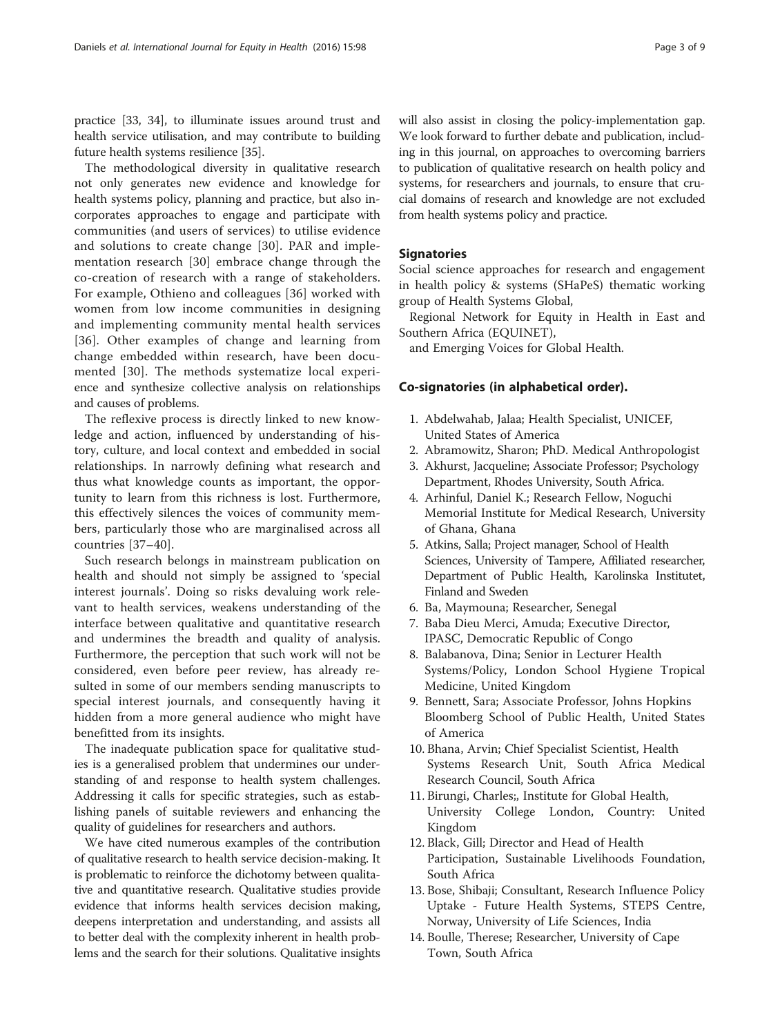practice [\[33, 34](#page-8-0)], to illuminate issues around trust and health service utilisation, and may contribute to building future health systems resilience [\[35\]](#page-8-0).

The methodological diversity in qualitative research not only generates new evidence and knowledge for health systems policy, planning and practice, but also incorporates approaches to engage and participate with communities (and users of services) to utilise evidence and solutions to create change [[30](#page-8-0)]. PAR and implementation research [\[30\]](#page-8-0) embrace change through the co-creation of research with a range of stakeholders. For example, Othieno and colleagues [\[36](#page-8-0)] worked with women from low income communities in designing and implementing community mental health services [[36](#page-8-0)]. Other examples of change and learning from change embedded within research, have been documented [[30](#page-8-0)]. The methods systematize local experience and synthesize collective analysis on relationships and causes of problems.

The reflexive process is directly linked to new knowledge and action, influenced by understanding of history, culture, and local context and embedded in social relationships. In narrowly defining what research and thus what knowledge counts as important, the opportunity to learn from this richness is lost. Furthermore, this effectively silences the voices of community members, particularly those who are marginalised across all countries [[37](#page-8-0)–[40\]](#page-8-0).

Such research belongs in mainstream publication on health and should not simply be assigned to 'special interest journals'. Doing so risks devaluing work relevant to health services, weakens understanding of the interface between qualitative and quantitative research and undermines the breadth and quality of analysis. Furthermore, the perception that such work will not be considered, even before peer review, has already resulted in some of our members sending manuscripts to special interest journals, and consequently having it hidden from a more general audience who might have benefitted from its insights.

The inadequate publication space for qualitative studies is a generalised problem that undermines our understanding of and response to health system challenges. Addressing it calls for specific strategies, such as establishing panels of suitable reviewers and enhancing the quality of guidelines for researchers and authors.

We have cited numerous examples of the contribution of qualitative research to health service decision-making. It is problematic to reinforce the dichotomy between qualitative and quantitative research. Qualitative studies provide evidence that informs health services decision making, deepens interpretation and understanding, and assists all to better deal with the complexity inherent in health problems and the search for their solutions. Qualitative insights

will also assist in closing the policy-implementation gap. We look forward to further debate and publication, including in this journal, on approaches to overcoming barriers to publication of qualitative research on health policy and systems, for researchers and journals, to ensure that crucial domains of research and knowledge are not excluded from health systems policy and practice.

# **Signatories**

Social science approaches for research and engagement in health policy & systems (SHaPeS) thematic working group of Health Systems Global,

Regional Network for Equity in Health in East and Southern Africa (EQUINET),

and Emerging Voices for Global Health.

# Co-signatories (in alphabetical order).

- 1. Abdelwahab, Jalaa; Health Specialist, UNICEF, United States of America
- 2. Abramowitz, Sharon; PhD. Medical Anthropologist
- 3. Akhurst, Jacqueline; Associate Professor; Psychology Department, Rhodes University, South Africa.
- 4. Arhinful, Daniel K.; Research Fellow, Noguchi Memorial Institute for Medical Research, University of Ghana, Ghana
- 5. Atkins, Salla; Project manager, School of Health Sciences, University of Tampere, Affiliated researcher, Department of Public Health, Karolinska Institutet, Finland and Sweden
- 6. Ba, Maymouna; Researcher, Senegal
- 7. Baba Dieu Merci, Amuda; Executive Director, IPASC, Democratic Republic of Congo
- 8. Balabanova, Dina; Senior in Lecturer Health Systems/Policy, London School Hygiene Tropical Medicine, United Kingdom
- 9. Bennett, Sara; Associate Professor, Johns Hopkins Bloomberg School of Public Health, United States of America
- 10. Bhana, Arvin; Chief Specialist Scientist, Health Systems Research Unit, South Africa Medical Research Council, South Africa
- 11. Birungi, Charles;, Institute for Global Health, University College London, Country: United Kingdom
- 12. Black, Gill; Director and Head of Health Participation, Sustainable Livelihoods Foundation, South Africa
- 13. Bose, Shibaji; Consultant, Research Influence Policy Uptake - Future Health Systems, STEPS Centre, Norway, University of Life Sciences, India
- 14. Boulle, Therese; Researcher, University of Cape Town, South Africa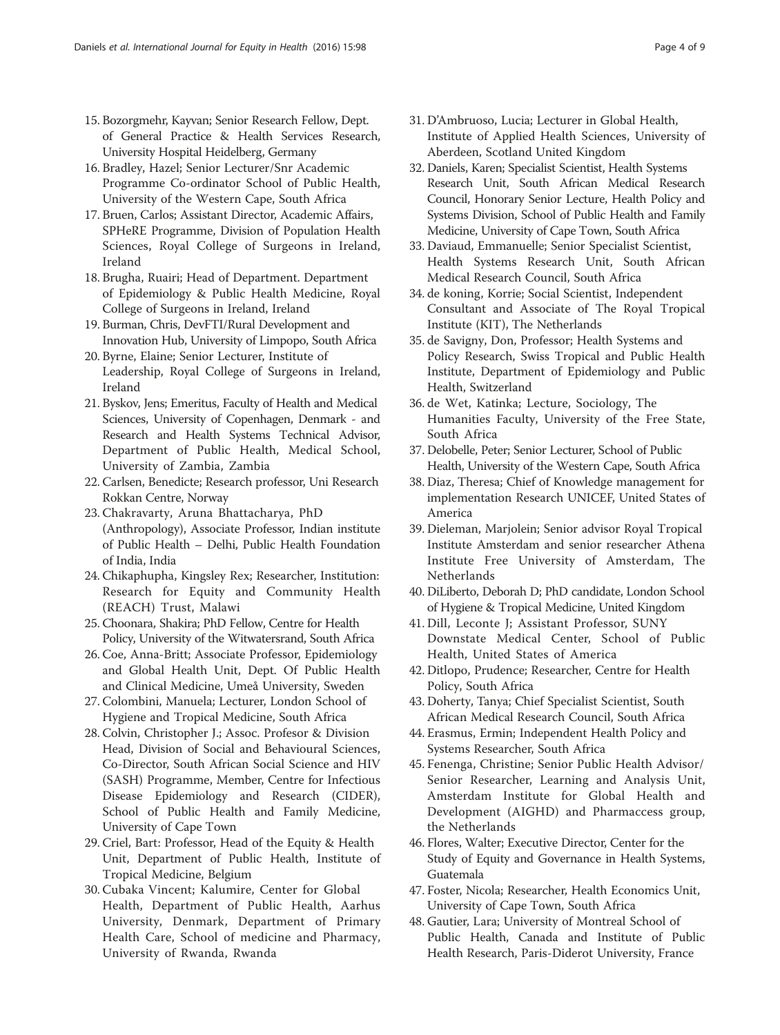- 15. Bozorgmehr, Kayvan; Senior Research Fellow, Dept. of General Practice & Health Services Research, University Hospital Heidelberg, Germany
- 16. Bradley, Hazel; Senior Lecturer/Snr Academic Programme Co-ordinator School of Public Health, University of the Western Cape, South Africa
- 17. Bruen, Carlos; Assistant Director, Academic Affairs, SPHeRE Programme, Division of Population Health Sciences, Royal College of Surgeons in Ireland, Ireland
- 18. Brugha, Ruairi; Head of Department. Department of Epidemiology & Public Health Medicine, Royal College of Surgeons in Ireland, Ireland
- 19. Burman, Chris, DevFTI/Rural Development and Innovation Hub, University of Limpopo, South Africa
- 20. Byrne, Elaine; Senior Lecturer, Institute of Leadership, Royal College of Surgeons in Ireland, Ireland
- 21. Byskov, Jens; Emeritus, Faculty of Health and Medical Sciences, University of Copenhagen, Denmark - and Research and Health Systems Technical Advisor, Department of Public Health, Medical School, University of Zambia, Zambia
- 22. Carlsen, Benedicte; Research professor, Uni Research Rokkan Centre, Norway
- 23. Chakravarty, Aruna Bhattacharya, PhD (Anthropology), Associate Professor, Indian institute of Public Health – Delhi, Public Health Foundation of India, India
- 24. Chikaphupha, Kingsley Rex; Researcher, Institution: Research for Equity and Community Health (REACH) Trust, Malawi
- 25. Choonara, Shakira; PhD Fellow, Centre for Health Policy, University of the Witwatersrand, South Africa
- 26. Coe, Anna-Britt; Associate Professor, Epidemiology and Global Health Unit, Dept. Of Public Health and Clinical Medicine, Umeå University, Sweden
- 27. Colombini, Manuela; Lecturer, London School of Hygiene and Tropical Medicine, South Africa
- 28. Colvin, Christopher J.; Assoc. Profesor & Division Head, Division of Social and Behavioural Sciences, Co-Director, South African Social Science and HIV (SASH) Programme, Member, Centre for Infectious Disease Epidemiology and Research (CIDER), School of Public Health and Family Medicine, University of Cape Town
- 29. Criel, Bart: Professor, Head of the Equity & Health Unit, Department of Public Health, Institute of Tropical Medicine, Belgium
- 30. Cubaka Vincent; Kalumire, Center for Global Health, Department of Public Health, Aarhus University, Denmark, Department of Primary Health Care, School of medicine and Pharmacy, University of Rwanda, Rwanda
- 31. D'Ambruoso, Lucia; Lecturer in Global Health, Institute of Applied Health Sciences, University of Aberdeen, Scotland United Kingdom
- 32. Daniels, Karen; Specialist Scientist, Health Systems Research Unit, South African Medical Research Council, Honorary Senior Lecture, Health Policy and Systems Division, School of Public Health and Family Medicine, University of Cape Town, South Africa
- 33. Daviaud, Emmanuelle; Senior Specialist Scientist, Health Systems Research Unit, South African Medical Research Council, South Africa
- 34. de koning, Korrie; Social Scientist, Independent Consultant and Associate of The Royal Tropical Institute (KIT), The Netherlands
- 35. de Savigny, Don, Professor; Health Systems and Policy Research, Swiss Tropical and Public Health Institute, Department of Epidemiology and Public Health, Switzerland
- 36. de Wet, Katinka; Lecture, Sociology, The Humanities Faculty, University of the Free State, South Africa
- 37. Delobelle, Peter; Senior Lecturer, School of Public Health, University of the Western Cape, South Africa
- 38. Diaz, Theresa; Chief of Knowledge management for implementation Research UNICEF, United States of America
- 39. Dieleman, Marjolein; Senior advisor Royal Tropical Institute Amsterdam and senior researcher Athena Institute Free University of Amsterdam, The **Netherlands**
- 40. DiLiberto, Deborah D; PhD candidate, London School of Hygiene & Tropical Medicine, United Kingdom
- 41. Dill, Leconte J; Assistant Professor, SUNY Downstate Medical Center, School of Public Health, United States of America
- 42. Ditlopo, Prudence; Researcher, Centre for Health Policy, South Africa
- 43. Doherty, Tanya; Chief Specialist Scientist, South African Medical Research Council, South Africa
- 44. Erasmus, Ermin; Independent Health Policy and Systems Researcher, South Africa
- 45. Fenenga, Christine; Senior Public Health Advisor/ Senior Researcher, Learning and Analysis Unit, Amsterdam Institute for Global Health and Development (AIGHD) and Pharmaccess group, the Netherlands
- 46. Flores, Walter; Executive Director, Center for the Study of Equity and Governance in Health Systems, Guatemala
- 47. Foster, Nicola; Researcher, Health Economics Unit, University of Cape Town, South Africa
- 48. Gautier, Lara; University of Montreal School of Public Health, Canada and Institute of Public Health Research, Paris-Diderot University, France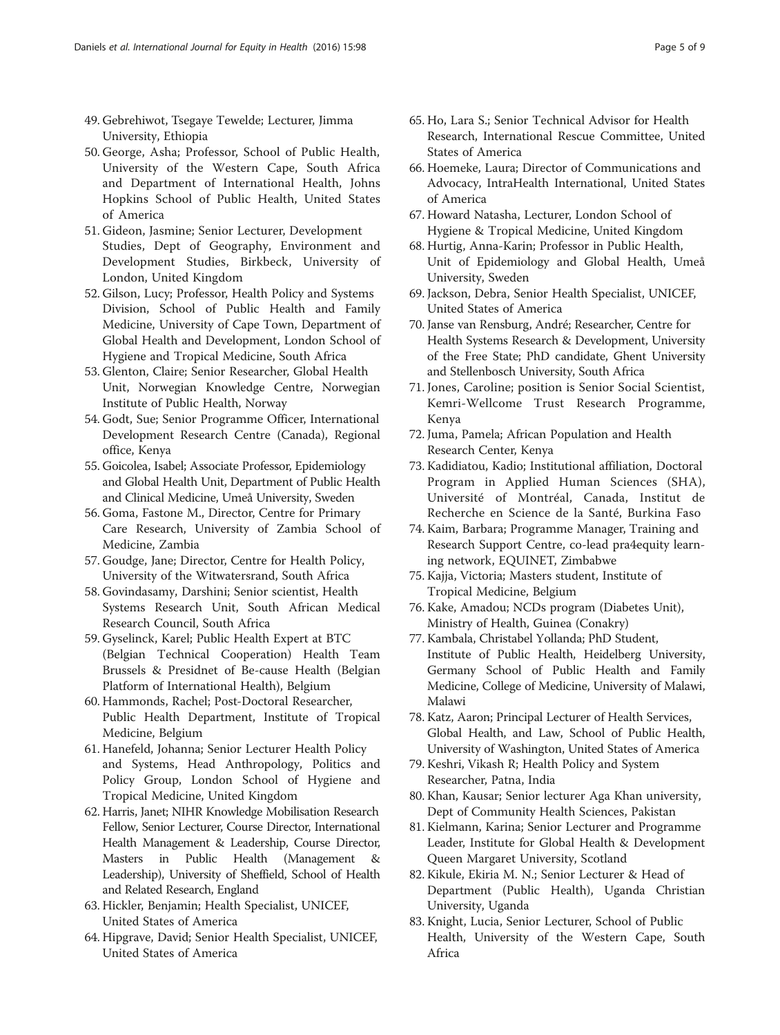- 49. Gebrehiwot, Tsegaye Tewelde; Lecturer, Jimma University, Ethiopia
- 50. George, Asha; Professor, School of Public Health, University of the Western Cape, South Africa and Department of International Health, Johns Hopkins School of Public Health, United States of America
- 51. Gideon, Jasmine; Senior Lecturer, Development Studies, Dept of Geography, Environment and Development Studies, Birkbeck, University of London, United Kingdom
- 52. Gilson, Lucy; Professor, Health Policy and Systems Division, School of Public Health and Family Medicine, University of Cape Town, Department of Global Health and Development, London School of Hygiene and Tropical Medicine, South Africa
- 53. Glenton, Claire; Senior Researcher, Global Health Unit, Norwegian Knowledge Centre, Norwegian Institute of Public Health, Norway
- 54. Godt, Sue; Senior Programme Officer, International Development Research Centre (Canada), Regional office, Kenya
- 55. Goicolea, Isabel; Associate Professor, Epidemiology and Global Health Unit, Department of Public Health and Clinical Medicine, Umeå University, Sweden
- 56. Goma, Fastone M., Director, Centre for Primary Care Research, University of Zambia School of Medicine, Zambia
- 57. Goudge, Jane; Director, Centre for Health Policy, University of the Witwatersrand, South Africa
- 58. Govindasamy, Darshini; Senior scientist, Health Systems Research Unit, South African Medical Research Council, South Africa
- 59. Gyselinck, Karel; Public Health Expert at BTC (Belgian Technical Cooperation) Health Team Brussels & Presidnet of Be-cause Health (Belgian Platform of International Health), Belgium
- 60. Hammonds, Rachel; Post-Doctoral Researcher, Public Health Department, Institute of Tropical Medicine, Belgium
- 61. Hanefeld, Johanna; Senior Lecturer Health Policy and Systems, Head Anthropology, Politics and Policy Group, London School of Hygiene and Tropical Medicine, United Kingdom
- 62. Harris, Janet; NIHR Knowledge Mobilisation Research Fellow, Senior Lecturer, Course Director, International Health Management & Leadership, Course Director, Masters in Public Health (Management & Leadership), University of Sheffield, School of Health and Related Research, England
- 63. Hickler, Benjamin; Health Specialist, UNICEF, United States of America
- 64. Hipgrave, David; Senior Health Specialist, UNICEF, United States of America
- 65. Ho, Lara S.; Senior Technical Advisor for Health Research, International Rescue Committee, United States of America
- 66. Hoemeke, Laura; Director of Communications and Advocacy, IntraHealth International, United States of America
- 67. Howard Natasha, Lecturer, London School of Hygiene & Tropical Medicine, United Kingdom
- 68. Hurtig, Anna-Karin; Professor in Public Health, Unit of Epidemiology and Global Health, Umeå University, Sweden
- 69. Jackson, Debra, Senior Health Specialist, UNICEF, United States of America
- 70. Janse van Rensburg, André; Researcher, Centre for Health Systems Research & Development, University of the Free State; PhD candidate, Ghent University and Stellenbosch University, South Africa
- 71. Jones, Caroline; position is Senior Social Scientist, Kemri-Wellcome Trust Research Programme, Kenya
- 72. Juma, Pamela; African Population and Health Research Center, Kenya
- 73. Kadidiatou, Kadio; Institutional affiliation, Doctoral Program in Applied Human Sciences (SHA), Université of Montréal, Canada, Institut de Recherche en Science de la Santé, Burkina Faso
- 74. Kaim, Barbara; Programme Manager, Training and Research Support Centre, co-lead pra4equity learning network, EQUINET, Zimbabwe
- 75. Kajja, Victoria; Masters student, Institute of Tropical Medicine, Belgium
- 76. Kake, Amadou; NCDs program (Diabetes Unit), Ministry of Health, Guinea (Conakry)
- 77. Kambala, Christabel Yollanda; PhD Student, Institute of Public Health, Heidelberg University, Germany School of Public Health and Family Medicine, College of Medicine, University of Malawi, Malawi
- 78. Katz, Aaron; Principal Lecturer of Health Services, Global Health, and Law, School of Public Health, University of Washington, United States of America
- 79. Keshri, Vikash R; Health Policy and System Researcher, Patna, India
- 80. Khan, Kausar; Senior lecturer Aga Khan university, Dept of Community Health Sciences, Pakistan
- 81. Kielmann, Karina; Senior Lecturer and Programme Leader, Institute for Global Health & Development Queen Margaret University, Scotland
- 82. Kikule, Ekiria M. N.; Senior Lecturer & Head of Department (Public Health), Uganda Christian University, Uganda
- 83. Knight, Lucia, Senior Lecturer, School of Public Health, University of the Western Cape, South Africa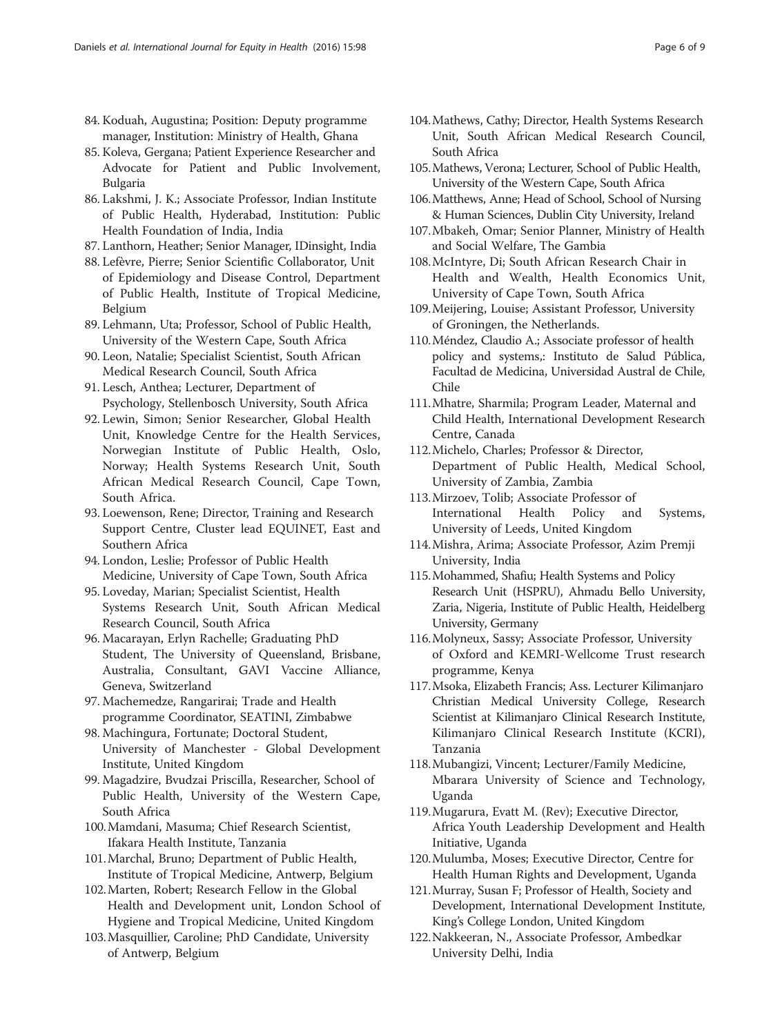- 84. Koduah, Augustina; Position: Deputy programme manager, Institution: Ministry of Health, Ghana
- 85. Koleva, Gergana; Patient Experience Researcher and Advocate for Patient and Public Involvement, Bulgaria
- 86. Lakshmi, J. K.; Associate Professor, Indian Institute of Public Health, Hyderabad, Institution: Public Health Foundation of India, India
- 87. Lanthorn, Heather; Senior Manager, IDinsight, India
- 88. Lefèvre, Pierre; Senior Scientific Collaborator, Unit of Epidemiology and Disease Control, Department of Public Health, Institute of Tropical Medicine, Belgium
- 89. Lehmann, Uta; Professor, School of Public Health, University of the Western Cape, South Africa
- 90. Leon, Natalie; Specialist Scientist, South African Medical Research Council, South Africa
- 91. Lesch, Anthea; Lecturer, Department of Psychology, Stellenbosch University, South Africa
- 92. Lewin, Simon; Senior Researcher, Global Health Unit, Knowledge Centre for the Health Services, Norwegian Institute of Public Health, Oslo, Norway; Health Systems Research Unit, South African Medical Research Council, Cape Town, South Africa.
- 93. Loewenson, Rene; Director, Training and Research Support Centre, Cluster lead EQUINET, East and Southern Africa
- 94. London, Leslie; Professor of Public Health Medicine, University of Cape Town, South Africa
- 95. Loveday, Marian; Specialist Scientist, Health Systems Research Unit, South African Medical Research Council, South Africa
- 96. Macarayan, Erlyn Rachelle; Graduating PhD Student, The University of Queensland, Brisbane, Australia, Consultant, GAVI Vaccine Alliance, Geneva, Switzerland
- 97. Machemedze, Rangarirai; Trade and Health programme Coordinator, SEATINI, Zimbabwe
- 98. Machingura, Fortunate; Doctoral Student, University of Manchester - Global Development Institute, United Kingdom
- 99. Magadzire, Bvudzai Priscilla, Researcher, School of Public Health, University of the Western Cape, South Africa
- 100.Mamdani, Masuma; Chief Research Scientist, Ifakara Health Institute, Tanzania
- 101.Marchal, Bruno; Department of Public Health, Institute of Tropical Medicine, Antwerp, Belgium
- 102.Marten, Robert; Research Fellow in the Global Health and Development unit, London School of Hygiene and Tropical Medicine, United Kingdom
- 103.Masquillier, Caroline; PhD Candidate, University of Antwerp, Belgium
- 104.Mathews, Cathy; Director, Health Systems Research Unit, South African Medical Research Council, South Africa
- 105.Mathews, Verona; Lecturer, School of Public Health, University of the Western Cape, South Africa
- 106.Matthews, Anne; Head of School, School of Nursing & Human Sciences, Dublin City University, Ireland
- 107.Mbakeh, Omar; Senior Planner, Ministry of Health and Social Welfare, The Gambia
- 108.McIntyre, Di; South African Research Chair in Health and Wealth, Health Economics Unit, University of Cape Town, South Africa
- 109.Meijering, Louise; Assistant Professor, University of Groningen, the Netherlands.
- 110.Méndez, Claudio A.; Associate professor of health policy and systems,: Instituto de Salud Pública, Facultad de Medicina, Universidad Austral de Chile, Chile
- 111.Mhatre, Sharmila; Program Leader, Maternal and Child Health, International Development Research Centre, Canada
- 112.Michelo, Charles; Professor & Director, Department of Public Health, Medical School, University of Zambia, Zambia
- 113.Mirzoev, Tolib; Associate Professor of International Health Policy and Systems, University of Leeds, United Kingdom
- 114.Mishra, Arima; Associate Professor, Azim Premji University, India
- 115.Mohammed, Shafiu; Health Systems and Policy Research Unit (HSPRU), Ahmadu Bello University, Zaria, Nigeria, Institute of Public Health, Heidelberg University, Germany
- 116.Molyneux, Sassy; Associate Professor, University of Oxford and KEMRI-Wellcome Trust research programme, Kenya
- 117.Msoka, Elizabeth Francis; Ass. Lecturer Kilimanjaro Christian Medical University College, Research Scientist at Kilimanjaro Clinical Research Institute, Kilimanjaro Clinical Research Institute (KCRI), Tanzania
- 118.Mubangizi, Vincent; Lecturer/Family Medicine, Mbarara University of Science and Technology, Uganda
- 119.Mugarura, Evatt M. (Rev); Executive Director, Africa Youth Leadership Development and Health Initiative, Uganda
- 120.Mulumba, Moses; Executive Director, Centre for Health Human Rights and Development, Uganda
- 121.Murray, Susan F; Professor of Health, Society and Development, International Development Institute, King's College London, United Kingdom
- 122.Nakkeeran, N., Associate Professor, Ambedkar University Delhi, India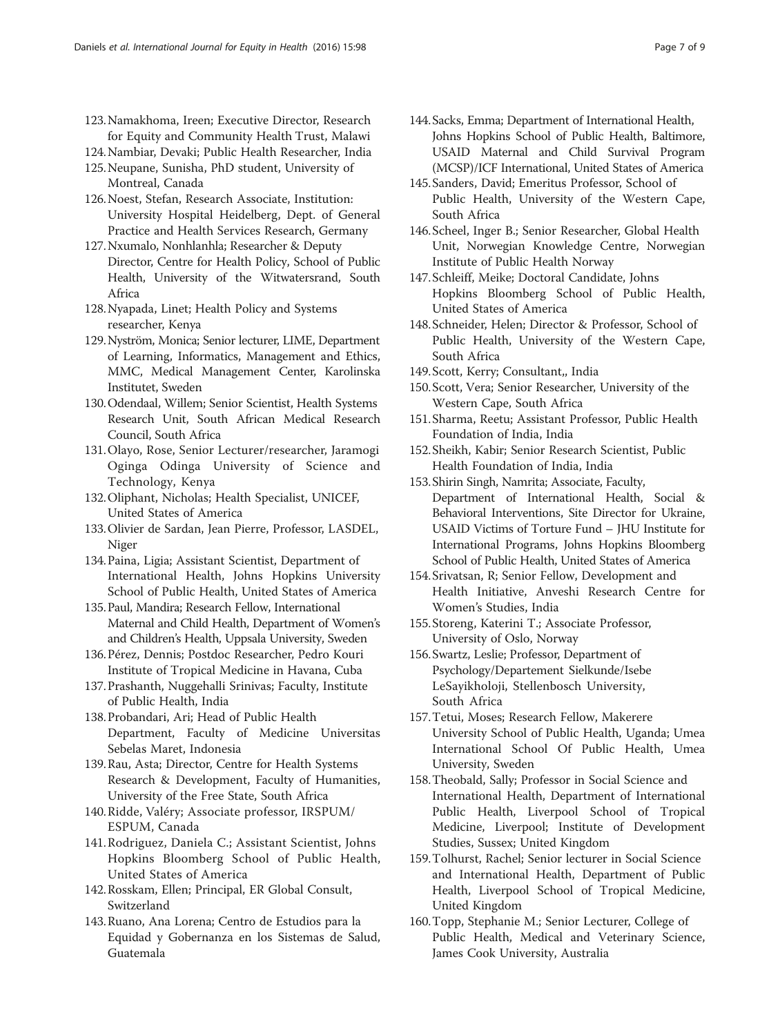- 123.Namakhoma, Ireen; Executive Director, Research for Equity and Community Health Trust, Malawi
- 124.Nambiar, Devaki; Public Health Researcher, India
- 125.Neupane, Sunisha, PhD student, University of Montreal, Canada
- 126.Noest, Stefan, Research Associate, Institution: University Hospital Heidelberg, Dept. of General Practice and Health Services Research, Germany
- 127.Nxumalo, Nonhlanhla; Researcher & Deputy Director, Centre for Health Policy, School of Public Health, University of the Witwatersrand, South Africa
- 128.Nyapada, Linet; Health Policy and Systems researcher, Kenya
- 129.Nyström, Monica; Senior lecturer, LIME, Department of Learning, Informatics, Management and Ethics, MMC, Medical Management Center, Karolinska Institutet, Sweden
- 130.Odendaal, Willem; Senior Scientist, Health Systems Research Unit, South African Medical Research Council, South Africa
- 131.Olayo, Rose, Senior Lecturer/researcher, Jaramogi Oginga Odinga University of Science and Technology, Kenya
- 132.Oliphant, Nicholas; Health Specialist, UNICEF, United States of America
- 133.Olivier de Sardan, Jean Pierre, Professor, LASDEL, Niger
- 134.Paina, Ligia; Assistant Scientist, Department of International Health, Johns Hopkins University School of Public Health, United States of America
- 135.Paul, Mandira; Research Fellow, International Maternal and Child Health, Department of Women's and Children's Health, Uppsala University, Sweden
- 136.Pérez, Dennis; Postdoc Researcher, Pedro Kouri Institute of Tropical Medicine in Havana, Cuba
- 137.Prashanth, Nuggehalli Srinivas; Faculty, Institute of Public Health, India
- 138.Probandari, Ari; Head of Public Health Department, Faculty of Medicine Universitas Sebelas Maret, Indonesia
- 139.Rau, Asta; Director, Centre for Health Systems Research & Development, Faculty of Humanities, University of the Free State, South Africa
- 140.Ridde, Valéry; Associate professor, IRSPUM/ ESPUM, Canada
- 141.Rodriguez, Daniela C.; Assistant Scientist, Johns Hopkins Bloomberg School of Public Health, United States of America
- 142.Rosskam, Ellen; Principal, ER Global Consult, Switzerland
- 143.Ruano, Ana Lorena; Centro de Estudios para la Equidad y Gobernanza en los Sistemas de Salud, Guatemala
- 144.Sacks, Emma; Department of International Health, Johns Hopkins School of Public Health, Baltimore, USAID Maternal and Child Survival Program (MCSP)/ICF International, United States of America
- 145.Sanders, David; Emeritus Professor, School of Public Health, University of the Western Cape, South Africa
- 146.Scheel, Inger B.; Senior Researcher, Global Health Unit, Norwegian Knowledge Centre, Norwegian Institute of Public Health Norway
- 147.Schleiff, Meike; Doctoral Candidate, Johns Hopkins Bloomberg School of Public Health, United States of America
- 148.Schneider, Helen; Director & Professor, School of Public Health, University of the Western Cape, South Africa
- 149.Scott, Kerry; Consultant,, India
- 150.Scott, Vera; Senior Researcher, University of the Western Cape, South Africa
- 151.Sharma, Reetu; Assistant Professor, Public Health Foundation of India, India
- 152.Sheikh, Kabir; Senior Research Scientist, Public Health Foundation of India, India
- 153.Shirin Singh, Namrita; Associate, Faculty, Department of International Health, Social & Behavioral Interventions, Site Director for Ukraine, USAID Victims of Torture Fund – JHU Institute for International Programs, Johns Hopkins Bloomberg School of Public Health, United States of America
- 154.Srivatsan, R; Senior Fellow, Development and Health Initiative, Anveshi Research Centre for Women's Studies, India
- 155.Storeng, Katerini T.; Associate Professor, University of Oslo, Norway
- 156.Swartz, Leslie; Professor, Department of Psychology/Departement Sielkunde/Isebe LeSayikholoji, Stellenbosch University, South Africa
- 157.Tetui, Moses; Research Fellow, Makerere University School of Public Health, Uganda; Umea International School Of Public Health, Umea University, Sweden
- 158.Theobald, Sally; Professor in Social Science and International Health, Department of International Public Health, Liverpool School of Tropical Medicine, Liverpool; Institute of Development Studies, Sussex; United Kingdom
- 159.Tolhurst, Rachel; Senior lecturer in Social Science and International Health, Department of Public Health, Liverpool School of Tropical Medicine, United Kingdom
- 160.Topp, Stephanie M.; Senior Lecturer, College of Public Health, Medical and Veterinary Science, James Cook University, Australia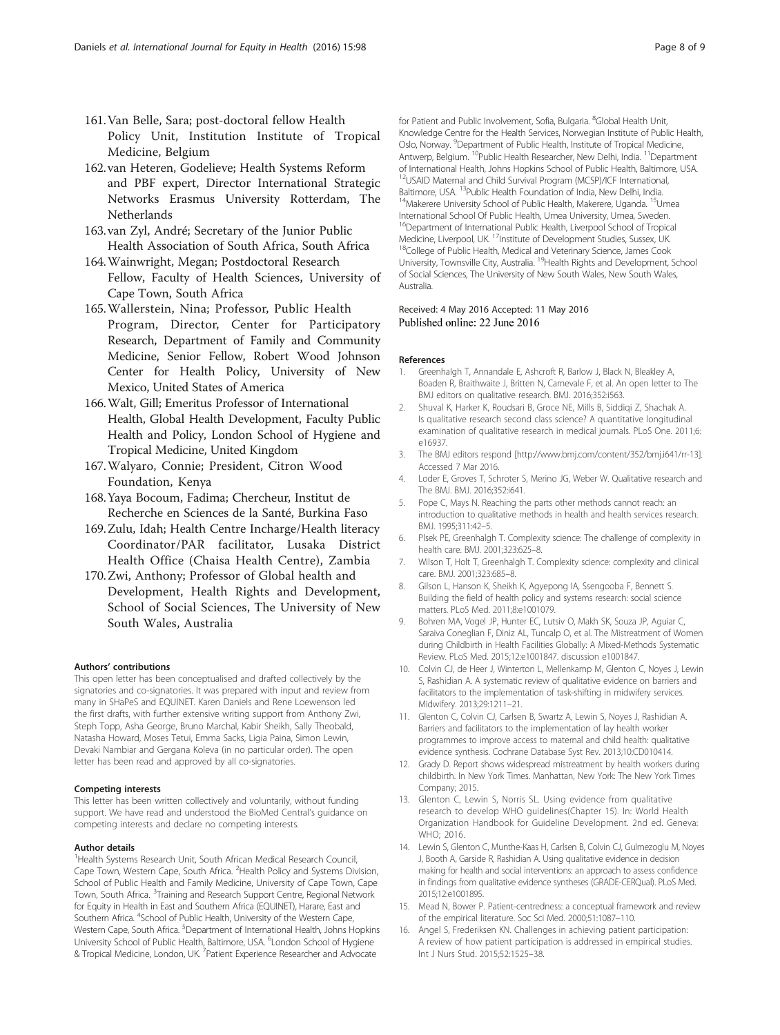- <span id="page-7-0"></span>161.Van Belle, Sara; post-doctoral fellow Health Policy Unit, Institution Institute of Tropical Medicine, Belgium
- 162.van Heteren, Godelieve; Health Systems Reform and PBF expert, Director International Strategic Networks Erasmus University Rotterdam, The Netherlands
- 163.van Zyl, André; Secretary of the Junior Public Health Association of South Africa, South Africa
- 164.Wainwright, Megan; Postdoctoral Research Fellow, Faculty of Health Sciences, University of Cape Town, South Africa
- 165.Wallerstein, Nina; Professor, Public Health Program, Director, Center for Participatory Research, Department of Family and Community Medicine, Senior Fellow, Robert Wood Johnson Center for Health Policy, University of New Mexico, United States of America
- 166.Walt, Gill; Emeritus Professor of International Health, Global Health Development, Faculty Public Health and Policy, London School of Hygiene and Tropical Medicine, United Kingdom
- 167.Walyaro, Connie; President, Citron Wood Foundation, Kenya
- 168.Yaya Bocoum, Fadima; Chercheur, Institut de Recherche en Sciences de la Santé, Burkina Faso
- 169.Zulu, Idah; Health Centre Incharge/Health literacy Coordinator/PAR facilitator, Lusaka District Health Office (Chaisa Health Centre), Zambia
- 170.Zwi, Anthony; Professor of Global health and Development, Health Rights and Development, School of Social Sciences, The University of New South Wales, Australia

#### Authors' contributions

This open letter has been conceptualised and drafted collectively by the signatories and co-signatories. It was prepared with input and review from many in SHaPeS and EQUINET. Karen Daniels and Rene Loewenson led the first drafts, with further extensive writing support from Anthony Zwi, Steph Topp, Asha George, Bruno Marchal, Kabir Sheikh, Sally Theobald, Natasha Howard, Moses Tetui, Emma Sacks, Ligia Paina, Simon Lewin, Devaki Nambiar and Gergana Koleva (in no particular order). The open letter has been read and approved by all co-signatories.

#### Competing interests

This letter has been written collectively and voluntarily, without funding support. We have read and understood the BioMed Central's guidance on competing interests and declare no competing interests.

#### Author details

<sup>1</sup> Health Systems Research Unit, South African Medical Research Council, Cape Town, Western Cape, South Africa. <sup>2</sup> Health Policy and Systems Division, School of Public Health and Family Medicine, University of Cape Town, Cape Town, South Africa. <sup>3</sup> Training and Research Support Centre, Regional Network for Equity in Health in East and Southern Africa (EQUINET), Harare, East and Southern Africa. <sup>4</sup>School of Public Health, University of the Western Cape, Western Cape, South Africa. <sup>5</sup>Department of International Health, Johns Hopkins University School of Public Health, Baltimore, USA. <sup>6</sup>London School of Hygiene & Tropical Medicine, London, UK. <sup>7</sup>Patient Experience Researcher and Advocate

for Patient and Public Involvement, Sofia, Bulgaria. <sup>8</sup>Global Health Unit, Knowledge Centre for the Health Services, Norwegian Institute of Public Health, Oslo, Norway. <sup>9</sup>Department of Public Health, Institute of Tropical Medicine, Antwerp, Belgium. <sup>10</sup>Public Health Researcher, New Delhi, India. <sup>11</sup>Department of International Health, Johns Hopkins School of Public Health, Baltimore, USA. 12USAID Maternal and Child Survival Program (MCSP)/ICF International, Baltimore, USA. <sup>13</sup>Public Health Foundation of India, New Delhi, India.<br><sup>14</sup>Makerere University School of Public Health, Makerere, Uganda. <sup>15</sup>Umea International School Of Public Health, Umea University, Umea, Sweden. <sup>16</sup>Department of International Public Health, Liverpool School of Tropical Medicine, Liverpool, UK. <sup>17</sup>Institute of Development Studies, Sussex, UK.<br><sup>18</sup>College of Public Health, Medical and Veterinary Science, James Cook University, Townsville City, Australia. 19Health Rights and Development, School of Social Sciences, The University of New South Wales, New South Wales, Australia.

### Received: 4 May 2016 Accepted: 11 May 2016 Published online: 22 June 2016

#### References

- Greenhalgh T, Annandale E, Ashcroft R, Barlow J, Black N, Bleakley A, Boaden R, Braithwaite J, Britten N, Carnevale F, et al. An open letter to The BMJ editors on qualitative research. BMJ. 2016;352:i563.
- 2. Shuval K, Harker K, Roudsari B, Groce NE, Mills B, Siddiqi Z, Shachak A. Is qualitative research second class science? A quantitative longitudinal examination of qualitative research in medical journals. PLoS One. 2011;6: e16937.
- 3. The BMJ editors respond [[http://www.bmj.com/content/352/bmj.i641/rr-13\]](http://www.bmj.com/content/352/bmj.i641/rr-13). Accessed 7 Mar 2016.
- 4. Loder E, Groves T, Schroter S, Merino JG, Weber W. Qualitative research and The BMJ. BMJ. 2016;352:i641.
- 5. Pope C, Mays N. Reaching the parts other methods cannot reach: an introduction to qualitative methods in health and health services research. BMJ. 1995;311:42–5.
- 6. Plsek PE, Greenhalgh T. Complexity science: The challenge of complexity in health care. BMJ. 2001;323:625–8.
- 7. Wilson T, Holt T, Greenhalgh T. Complexity science: complexity and clinical care. BMJ. 2001;323:685–8.
- 8. Gilson L, Hanson K, Sheikh K, Agyepong IA, Ssengooba F, Bennett S. Building the field of health policy and systems research: social science matters. PLoS Med. 2011;8:e1001079.
- 9. Bohren MA, Vogel JP, Hunter EC, Lutsiv O, Makh SK, Souza JP, Aguiar C, Saraiva Coneglian F, Diniz AL, Tuncalp O, et al. The Mistreatment of Women during Childbirth in Health Facilities Globally: A Mixed-Methods Systematic Review. PLoS Med. 2015;12:e1001847. discussion e1001847.
- 10. Colvin CJ, de Heer J, Winterton L, Mellenkamp M, Glenton C, Noyes J, Lewin S, Rashidian A. A systematic review of qualitative evidence on barriers and facilitators to the implementation of task-shifting in midwifery services. Midwifery. 2013;29:1211–21.
- 11. Glenton C, Colvin CJ, Carlsen B, Swartz A, Lewin S, Noyes J, Rashidian A. Barriers and facilitators to the implementation of lay health worker programmes to improve access to maternal and child health: qualitative evidence synthesis. Cochrane Database Syst Rev. 2013;10:CD010414.
- 12. Grady D. Report shows widespread mistreatment by health workers during childbirth. In New York Times. Manhattan, New York: The New York Times Company; 2015.
- 13. Glenton C, Lewin S, Norris SL. Using evidence from qualitative research to develop WHO guidelines(Chapter 15). In: World Health Organization Handbook for Guideline Development. 2nd ed. Geneva: WHO; 2016.
- 14. Lewin S, Glenton C, Munthe-Kaas H, Carlsen B, Colvin CJ, Gulmezoglu M, Noyes J, Booth A, Garside R, Rashidian A. Using qualitative evidence in decision making for health and social interventions: an approach to assess confidence in findings from qualitative evidence syntheses (GRADE-CERQual). PLoS Med. 2015;12:e1001895.
- 15. Mead N, Bower P. Patient-centredness: a conceptual framework and review of the empirical literature. Soc Sci Med. 2000;51:1087–110.
- 16. Angel S, Frederiksen KN. Challenges in achieving patient participation: A review of how patient participation is addressed in empirical studies. Int J Nurs Stud. 2015;52:1525–38.